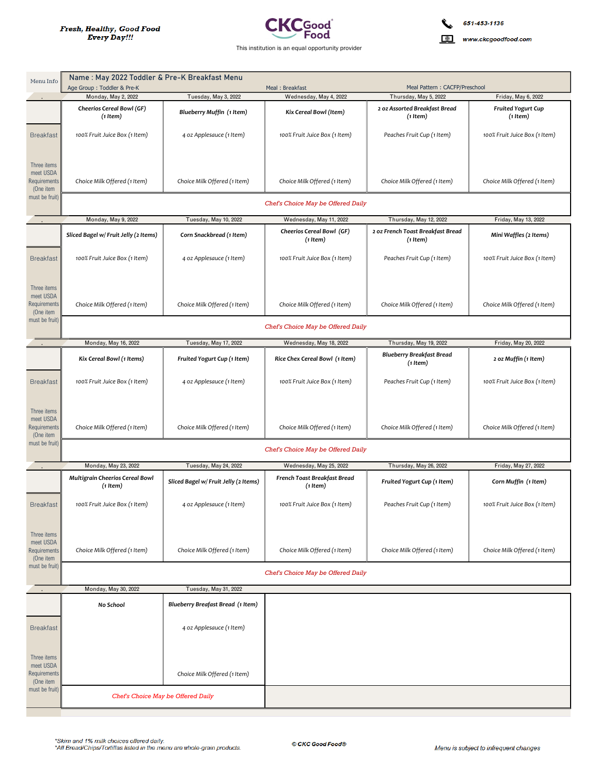

www.ckcgoodfood.com

| Menu Info                                                                      | Name : May 2022 Toddler & Pre-K Breakfast Menu                    |                                                   |                                                                    |                                                                         |                                                              |  |
|--------------------------------------------------------------------------------|-------------------------------------------------------------------|---------------------------------------------------|--------------------------------------------------------------------|-------------------------------------------------------------------------|--------------------------------------------------------------|--|
|                                                                                | Age Group: Toddler & Pre-K                                        |                                                   | Meal: Breakfast                                                    | Meal Pattern: CACFP/Preschool                                           |                                                              |  |
|                                                                                | Monday, May 2, 2022<br>Cheerios Cereal Bowl (GF)<br>$(1$ Item $)$ | Tuesday, May 3, 2022<br>Blueberry Muffin (1 Item) | Wednesday, May 4, 2022<br>Kix Cereal Bowl (Item)                   | Thursday, May 5, 2022<br>2 oz Assorted Breakfast Bread<br>$(1$ Item $)$ | Friday, May 6, 2022<br><b>Fruited Yogurt Cup</b><br>(1 Item) |  |
| <b>Breakfast</b>                                                               | 100% Fruit Juice Box (1 Item)                                     | 4 oz Applesauce (1 Item)                          | 100% Fruit Juice Box (1 Item)                                      | Peaches Fruit Cup (1 Item)                                              | 100% Fruit Juice Box (1 Item)                                |  |
| Three items<br>meet USDA<br><b>Requirements</b><br>(One item<br>must be fruit) | Choice Milk Offered (1 Item)                                      | Choice Milk Offered (1 Item)                      | Choice Milk Offered (1 Item)<br>Chef's Choice May be Offered Daily | Choice Milk Offered (1 Item)                                            | Choice Milk Offered (1 Item)                                 |  |
|                                                                                | Monday, May 9, 2022                                               | Tuesday, May 10, 2022                             | Wednesday, May 11, 2022                                            | Thursday, May 12, 2022                                                  | Friday, May 13, 2022                                         |  |
|                                                                                | Sliced Bagel w/ Fruit Jelly (2 Items)                             | Corn Snackbread (1 Item)                          | Cheerios Cereal Bowl (GF)<br>$(1$ Item $)$                         | 2 oz French Toast Breakfast Bread<br>(1 Item)                           | Mini Waffles (2 Items)                                       |  |
| <b>Breakfast</b>                                                               | 100% Fruit Juice Box (1 Item)                                     | 4 oz Applesauce (1 Item)                          | 100% Fruit Juice Box (1 Item)                                      | Peaches Fruit Cup (1 Item)                                              | 100% Fruit Juice Box (1 Item)                                |  |
| Three items<br>meet USDA<br><b>Requirements</b><br>(One item                   | Choice Milk Offered (1 Item)                                      | Choice Milk Offered (1 Item)                      | Choice Milk Offered (1 Item)                                       | Choice Milk Offered (1 Item)                                            | Choice Milk Offered (1 Item)                                 |  |
| must be fruit)                                                                 | Chef's Choice May be Offered Daily                                |                                                   |                                                                    |                                                                         |                                                              |  |
|                                                                                | Monday, May 16, 2022                                              | Tuesday, May 17, 2022                             | Wednesday, May 18, 2022                                            | Thursday, May 19, 2022                                                  | Friday, May 20, 2022                                         |  |
|                                                                                | Kix Cereal Bowl (1 Items)                                         | Fruited Yogurt Cup (1 Item)                       | Rice Chex Cereal Bowl (1 Item)                                     | <b>Blueberry Breakfast Bread</b><br>$(1$ Item $)$                       | 2 oz Muffin (1 Item)                                         |  |
| <b>Breakfast</b>                                                               | 100% Fruit Juice Box (1 Item)                                     | 4 oz Applesauce (1 Item)                          | 100% Fruit Juice Box (1 Item)                                      | Peaches Fruit Cup (1 Item)                                              | 100% Fruit Juice Box (1 Item)                                |  |
| Three items<br>meet USDA<br><b>Requirements</b><br>(One item<br>must be fruit) | Choice Milk Offered (1 Item)                                      | Choice Milk Offered (1 Item)                      | Choice Milk Offered (1 Item)<br>Chef's Choice May be Offered Daily | Choice Milk Offered (1 Item)                                            | Choice Milk Offered (1 Item)                                 |  |
|                                                                                | Monday, May 23, 2022                                              | Tuesday, May 24, 2022                             | Wednesday, May 25, 2022                                            | Thursday, May 26, 2022                                                  | Friday, May 27, 2022                                         |  |
|                                                                                | Multigrain Cheerios Cereal Bowl<br>$(1$ Item $)$                  | Sliced Bagel w/ Fruit Jelly (2 Items)             | French Toast Breakfast Bread<br>$(1$ Item $)$                      | Fruited Yogurt Cup (1 Item)                                             | Corn Muffin (1 Item)                                         |  |
| <b>Breakfast</b>                                                               | 100% Fruit Juice Box (1 Item)                                     | 4 oz Applesauce (1 Item)                          | 100% Fruit Juice Box (1 Item)                                      | Peaches Fruit Cup (1 Item)                                              | 100% Fruit Juice Box (1 Item)                                |  |
| Three items<br>meet USDA<br>Requirements<br>(One item                          | Choice Milk Offered (1 Item)                                      | Choice Milk Offered (1 Item)                      | Choice Milk Offered (1 Item)                                       | Choice Milk Offered (1 Item)                                            | Choice Milk Offered (1 Item)                                 |  |
| must be fruit)                                                                 |                                                                   |                                                   | Chef's Choice May be Offered Daily                                 |                                                                         |                                                              |  |
|                                                                                | Monday, May 30, 2022                                              | Tuesday, May 31, 2022                             |                                                                    |                                                                         |                                                              |  |
|                                                                                | No School                                                         | Blueberry Breafast Bread (1 Item)                 |                                                                    |                                                                         |                                                              |  |
| <b>Breakfast</b>                                                               |                                                                   | 4 oz Applesauce (1 Item)                          |                                                                    |                                                                         |                                                              |  |
| Three items<br>meet USDA<br>Requirements<br>(One item<br>must be fruit)        |                                                                   | Choice Milk Offered (1 Item)                      |                                                                    |                                                                         |                                                              |  |
|                                                                                | Chef's Choice May be Offered Daily                                |                                                   |                                                                    |                                                                         |                                                              |  |